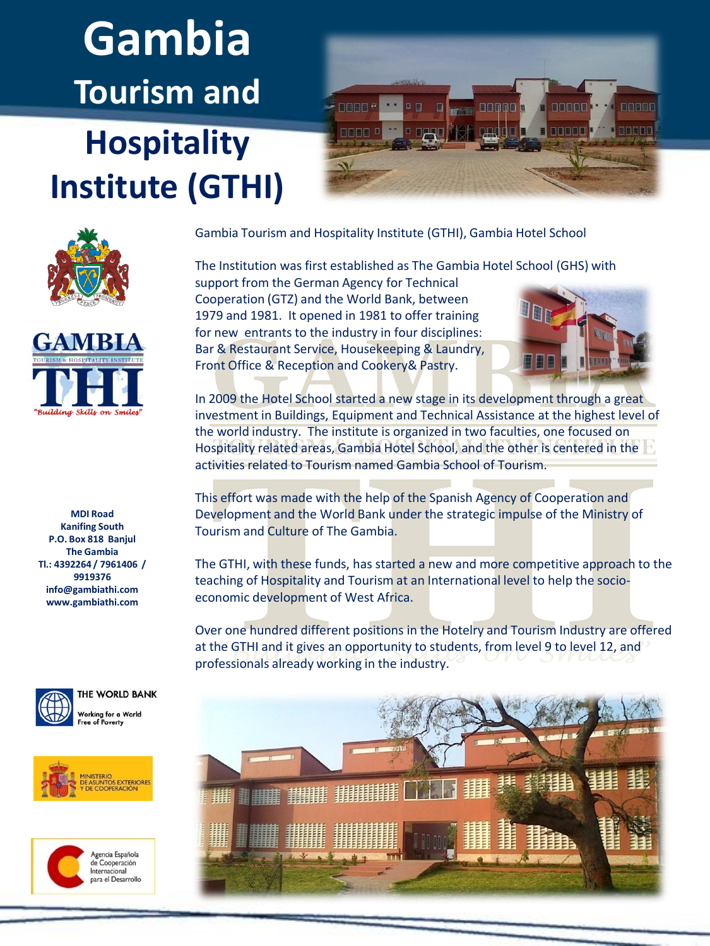## **Gambia Tourism and Hospitality Institute (GTHI)**







**MDI Road Kanifing South P.O. Box 818 Banjul The Gambia Tl.: 4392264 / 7961406 / 9919376 info@gambiathi.com www.gambiathi.com**



THE WORLD BANK Vorking for a World





Gambia Tourism and Hospitality Institute (GTHI), Gambia Hotel School

The Institution was first established as The Gambia Hotel School (GHS) with support from the German Agency for Technical Cooperation (GTZ) and the World Bank, between 1979 and 1981. It opened in 1981 to offer training

for new entrants to the industry in four disciplines: Bar & Restaurant Service, Housekeeping & Laundry, Front Office & Reception and Cookery& Pastry.



In 2009 the Hotel School started a new stage in its development through a great investment in Buildings, Equipment and Technical Assistance at the highest level of the world industry. The institute is organized in two faculties, one focused on Hospitality related areas, Gambia Hotel School, and the other is centered in the activities related to Tourism named Gambia School of Tourism.

This effort was made with the help of the Spanish Agency of Cooperation and Development and the World Bank under the strategic impulse of the Ministry of Tourism and Culture of The Gambia.

The GTHI, with these funds, has started a new and more competitive approach to the teaching of Hospitality and Tourism at an International level to help the socioeconomic development of West Africa.

Over one hundred different positions in the Hotelry and Tourism Industry are offered at the GTHI and it gives an opportunity to students, from level 9 to level 12, and professionals already working in the industry.